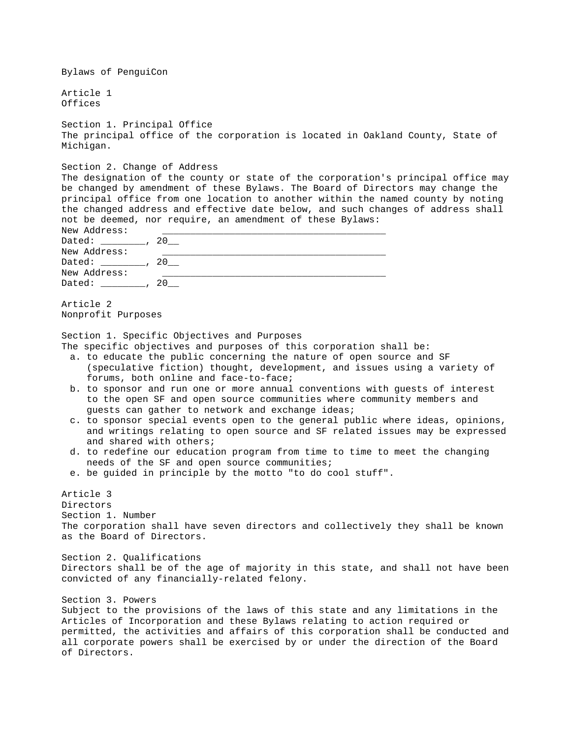| Bylaws of PenguiCon                                                                                                                                                                                                                                                                                                                                                                                                                                                                                                                                                                                                                                                                                                                                                                                                                                                                                                                                       |
|-----------------------------------------------------------------------------------------------------------------------------------------------------------------------------------------------------------------------------------------------------------------------------------------------------------------------------------------------------------------------------------------------------------------------------------------------------------------------------------------------------------------------------------------------------------------------------------------------------------------------------------------------------------------------------------------------------------------------------------------------------------------------------------------------------------------------------------------------------------------------------------------------------------------------------------------------------------|
| Article 1<br>Offices                                                                                                                                                                                                                                                                                                                                                                                                                                                                                                                                                                                                                                                                                                                                                                                                                                                                                                                                      |
| Section 1. Principal Office<br>The principal office of the corporation is located in Oakland County, State of<br>Michigan.                                                                                                                                                                                                                                                                                                                                                                                                                                                                                                                                                                                                                                                                                                                                                                                                                                |
| Section 2. Change of Address<br>The designation of the county or state of the corporation's principal office may<br>be changed by amendment of these Bylaws. The Board of Directors may change the<br>principal office from one location to another within the named county by noting<br>the changed address and effective date below, and such changes of address shall<br>not be deemed, nor require, an amendment of these Bylaws:<br>New Address:<br>Dated: _________, 20__<br>New Address:<br>Dated: _________, 20__<br>New Address:                                                                                                                                                                                                                                                                                                                                                                                                                 |
| Dated: ________, 20__                                                                                                                                                                                                                                                                                                                                                                                                                                                                                                                                                                                                                                                                                                                                                                                                                                                                                                                                     |
| Article 2<br>Nonprofit Purposes<br>Section 1. Specific Objectives and Purposes<br>The specific objectives and purposes of this corporation shall be:<br>a. to educate the public concerning the nature of open source and SF<br>(speculative fiction) thought, development, and issues using a variety of<br>forums, both online and face-to-face;<br>b. to sponsor and run one or more annual conventions with guests of interest<br>to the open SF and open source communities where community members and<br>guests can gather to network and exchange ideas;<br>c. to sponsor special events open to the general public where ideas, opinions,<br>and writings relating to open source and SF related issues may be expressed<br>and shared with others;<br>d. to redefine our education program from time to time to meet the changing<br>needs of the SF and open source communities;<br>e. be guided in principle by the motto "to do cool stuff". |
| Article 3<br>Directors<br>Section 1. Number<br>The corporation shall have seven directors and collectively they shall be known<br>as the Board of Directors.                                                                                                                                                                                                                                                                                                                                                                                                                                                                                                                                                                                                                                                                                                                                                                                              |
| Section 2. Qualifications<br>Directors shall be of the age of majority in this state, and shall not have been<br>convicted of any financially-related felony.                                                                                                                                                                                                                                                                                                                                                                                                                                                                                                                                                                                                                                                                                                                                                                                             |
| Section 3. Powers<br>Subject to the provisions of the laws of this state and any limitations in the<br>Articles of Incorporation and these Bylaws relating to action required or<br>permitted, the activities and affairs of this corporation shall be conducted and<br>all corporate powers shall be exercised by or under the direction of the Board<br>of Directors.                                                                                                                                                                                                                                                                                                                                                                                                                                                                                                                                                                                   |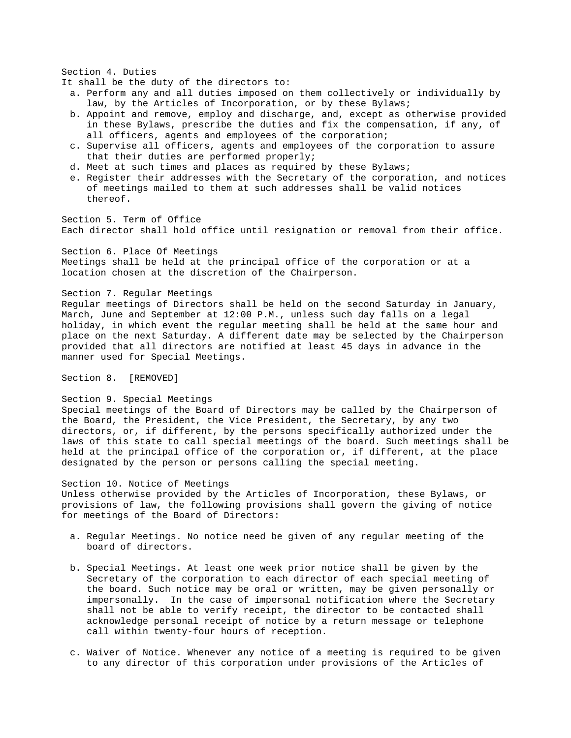# Section 4. Duties

It shall be the duty of the directors to:

- a. Perform any and all duties imposed on them collectively or individually by law, by the Articles of Incorporation, or by these Bylaws;
- b. Appoint and remove, employ and discharge, and, except as otherwise provided in these Bylaws, prescribe the duties and fix the compensation, if any, of all officers, agents and employees of the corporation;
- c. Supervise all officers, agents and employees of the corporation to assure that their duties are performed properly;
- d. Meet at such times and places as required by these Bylaws;
- e. Register their addresses with the Secretary of the corporation, and notices of meetings mailed to them at such addresses shall be valid notices thereof.

Section 5. Term of Office Each director shall hold office until resignation or removal from their office.

Section 6. Place Of Meetings Meetings shall be held at the principal office of the corporation or at a location chosen at the discretion of the Chairperson.

# Section 7. Regular Meetings

Regular meetings of Directors shall be held on the second Saturday in January, March, June and September at 12:00 P.M., unless such day falls on a legal holiday, in which event the regular meeting shall be held at the same hour and place on the next Saturday. A different date may be selected by the Chairperson provided that all directors are notified at least 45 days in advance in the manner used for Special Meetings.

Section 8. [REMOVED]

# Section 9. Special Meetings

Special meetings of the Board of Directors may be called by the Chairperson of the Board, the President, the Vice President, the Secretary, by any two directors, or, if different, by the persons specifically authorized under the laws of this state to call special meetings of the board. Such meetings shall be held at the principal office of the corporation or, if different, at the place designated by the person or persons calling the special meeting.

#### Section 10. Notice of Meetings

Unless otherwise provided by the Articles of Incorporation, these Bylaws, or provisions of law, the following provisions shall govern the giving of notice for meetings of the Board of Directors:

- a. Regular Meetings. No notice need be given of any regular meeting of the board of directors.
- b. Special Meetings. At least one week prior notice shall be given by the Secretary of the corporation to each director of each special meeting of the board. Such notice may be oral or written, may be given personally or impersonally. In the case of impersonal notification where the Secretary shall not be able to verify receipt, the director to be contacted shall acknowledge personal receipt of notice by a return message or telephone call within twenty-four hours of reception.
- c. Waiver of Notice. Whenever any notice of a meeting is required to be given to any director of this corporation under provisions of the Articles of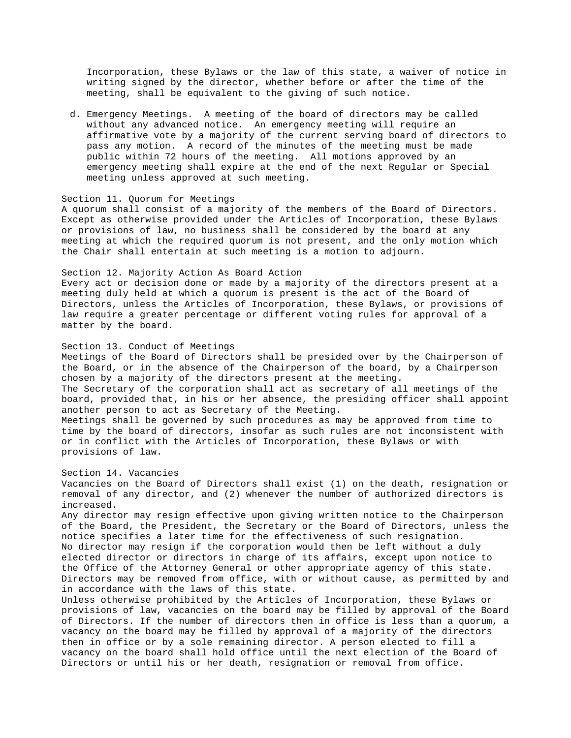Incorporation, these Bylaws or the law of this state, a waiver of notice in writing signed by the director, whether before or after the time of the meeting, shall be equivalent to the giving of such notice.

d. Emergency Meetings. A meeting of the board of directors may be called without any advanced notice. An emergency meeting will require an affirmative vote by a majority of the current serving board of directors to pass any motion. A record of the minutes of the meeting must be made public within 72 hours of the meeting. All motions approved by an emergency meeting shall expire at the end of the next Regular or Special meeting unless approved at such meeting.

#### Section 11. Quorum for Meetings

A quorum shall consist of a majority of the members of the Board of Directors. Except as otherwise provided under the Articles of Incorporation, these Bylaws or provisions of law, no business shall be considered by the board at any meeting at which the required quorum is not present, and the only motion which the Chair shall entertain at such meeting is a motion to adjourn.

#### Section 12. Majority Action As Board Action

Every act or decision done or made by a majority of the directors present at a meeting duly held at which a quorum is present is the act of the Board of Directors, unless the Articles of Incorporation, these Bylaws, or provisions of law require a greater percentage or different voting rules for approval of a matter by the board.

#### Section 13. Conduct of Meetings

Meetings of the Board of Directors shall be presided over by the Chairperson of the Board, or in the absence of the Chairperson of the board, by a Chairperson chosen by a majority of the directors present at the meeting. The Secretary of the corporation shall act as secretary of all meetings of the board, provided that, in his or her absence, the presiding officer shall appoint another person to act as Secretary of the Meeting. Meetings shall be governed by such procedures as may be approved from time to time by the board of directors, insofar as such rules are not inconsistent with

or in conflict with the Articles of Incorporation, these Bylaws or with

# Section 14. Vacancies

provisions of law.

Vacancies on the Board of Directors shall exist (1) on the death, resignation or removal of any director, and (2) whenever the number of authorized directors is increased. Any director may resign effective upon giving written notice to the Chairperson

of the Board, the President, the Secretary or the Board of Directors, unless the notice specifies a later time for the effectiveness of such resignation. No director may resign if the corporation would then be left without a duly elected director or directors in charge of its affairs, except upon notice to the Office of the Attorney General or other appropriate agency of this state. Directors may be removed from office, with or without cause, as permitted by and in accordance with the laws of this state.

Unless otherwise prohibited by the Articles of Incorporation, these Bylaws or provisions of law, vacancies on the board may be filled by approval of the Board of Directors. If the number of directors then in office is less than a quorum, a vacancy on the board may be filled by approval of a majority of the directors then in office or by a sole remaining director. A person elected to fill a vacancy on the board shall hold office until the next election of the Board of Directors or until his or her death, resignation or removal from office.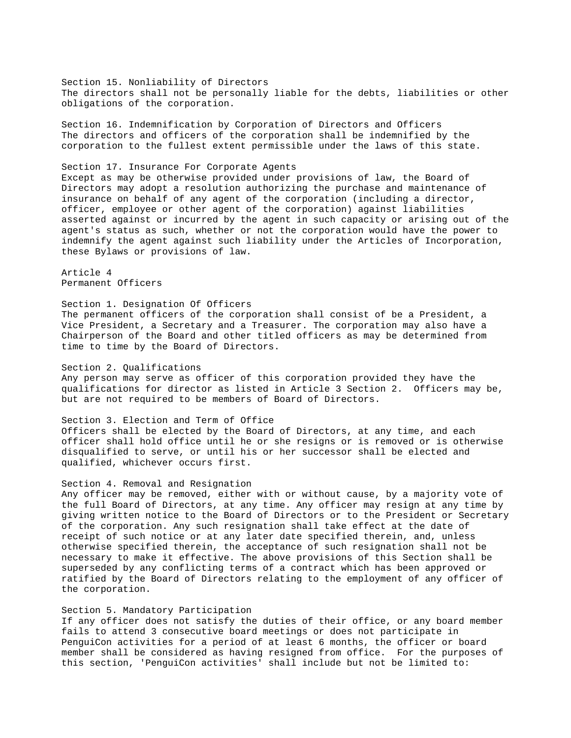Section 15. Nonliability of Directors The directors shall not be personally liable for the debts, liabilities or other obligations of the corporation.

Section 16. Indemnification by Corporation of Directors and Officers The directors and officers of the corporation shall be indemnified by the corporation to the fullest extent permissible under the laws of this state.

#### Section 17. Insurance For Corporate Agents

Except as may be otherwise provided under provisions of law, the Board of Directors may adopt a resolution authorizing the purchase and maintenance of insurance on behalf of any agent of the corporation (including a director, officer, employee or other agent of the corporation) against liabilities asserted against or incurred by the agent in such capacity or arising out of the agent's status as such, whether or not the corporation would have the power to indemnify the agent against such liability under the Articles of Incorporation, these Bylaws or provisions of law.

Article 4 Permanent Officers

# Section 1. Designation Of Officers

The permanent officers of the corporation shall consist of be a President, a Vice President, a Secretary and a Treasurer. The corporation may also have a Chairperson of the Board and other titled officers as may be determined from time to time by the Board of Directors.

Section 2. Qualifications Any person may serve as officer of this corporation provided they have the qualifications for director as listed in Article 3 Section 2. Officers may be, but are not required to be members of Board of Directors.

# Section 3. Election and Term of Office

Officers shall be elected by the Board of Directors, at any time, and each officer shall hold office until he or she resigns or is removed or is otherwise disqualified to serve, or until his or her successor shall be elected and qualified, whichever occurs first.

#### Section 4. Removal and Resignation

Any officer may be removed, either with or without cause, by a majority vote of the full Board of Directors, at any time. Any officer may resign at any time by giving written notice to the Board of Directors or to the President or Secretary of the corporation. Any such resignation shall take effect at the date of receipt of such notice or at any later date specified therein, and, unless otherwise specified therein, the acceptance of such resignation shall not be necessary to make it effective. The above provisions of this Section shall be superseded by any conflicting terms of a contract which has been approved or ratified by the Board of Directors relating to the employment of any officer of the corporation.

# Section 5. Mandatory Participation

If any officer does not satisfy the duties of their office, or any board member fails to attend 3 consecutive board meetings or does not participate in PenguiCon activities for a period of at least 6 months, the officer or board member shall be considered as having resigned from office. For the purposes of this section, 'PenguiCon activities' shall include but not be limited to: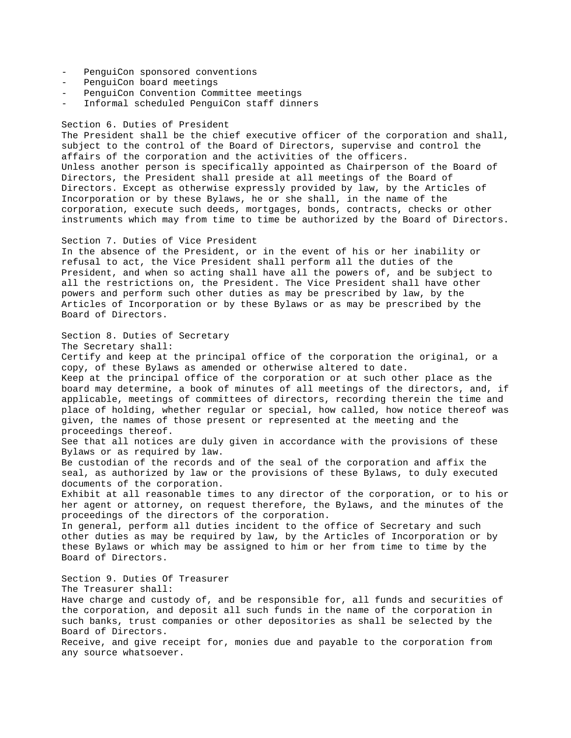- PenguiCon sponsored conventions
- PenguiCon board meetings
- PenguiCon Convention Committee meetings
- Informal scheduled PenguiCon staff dinners

#### Section 6. Duties of President

The President shall be the chief executive officer of the corporation and shall, subject to the control of the Board of Directors, supervise and control the affairs of the corporation and the activities of the officers. Unless another person is specifically appointed as Chairperson of the Board of Directors, the President shall preside at all meetings of the Board of Directors. Except as otherwise expressly provided by law, by the Articles of Incorporation or by these Bylaws, he or she shall, in the name of the corporation, execute such deeds, mortgages, bonds, contracts, checks or other instruments which may from time to time be authorized by the Board of Directors.

#### Section 7. Duties of Vice President

In the absence of the President, or in the event of his or her inability or refusal to act, the Vice President shall perform all the duties of the President, and when so acting shall have all the powers of, and be subject to all the restrictions on, the President. The Vice President shall have other powers and perform such other duties as may be prescribed by law, by the Articles of Incorporation or by these Bylaws or as may be prescribed by the Board of Directors.

Section 8. Duties of Secretary The Secretary shall: Certify and keep at the principal office of the corporation the original, or a copy, of these Bylaws as amended or otherwise altered to date. Keep at the principal office of the corporation or at such other place as the board may determine, a book of minutes of all meetings of the directors, and, if applicable, meetings of committees of directors, recording therein the time and place of holding, whether regular or special, how called, how notice thereof was given, the names of those present or represented at the meeting and the proceedings thereof. See that all notices are duly given in accordance with the provisions of these Bylaws or as required by law. Be custodian of the records and of the seal of the corporation and affix the seal, as authorized by law or the provisions of these Bylaws, to duly executed documents of the corporation. Exhibit at all reasonable times to any director of the corporation, or to his or her agent or attorney, on request therefore, the Bylaws, and the minutes of the proceedings of the directors of the corporation. In general, perform all duties incident to the office of Secretary and such other duties as may be required by law, by the Articles of Incorporation or by these Bylaws or which may be assigned to him or her from time to time by the Board of Directors. Section 9. Duties Of Treasurer The Treasurer shall: Have charge and custody of, and be responsible for, all funds and securities of the corporation, and deposit all such funds in the name of the corporation in such banks, trust companies or other depositories as shall be selected by the Board of Directors. Receive, and give receipt for, monies due and payable to the corporation from any source whatsoever.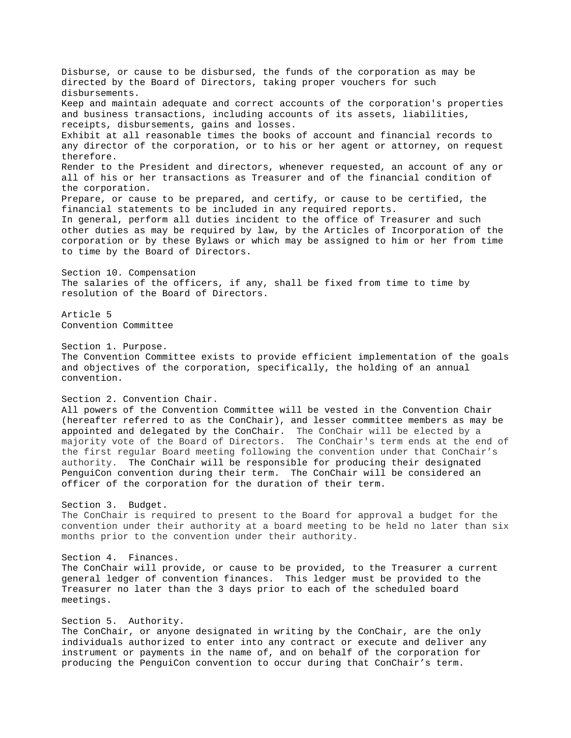Disburse, or cause to be disbursed, the funds of the corporation as may be directed by the Board of Directors, taking proper vouchers for such disbursements. Keep and maintain adequate and correct accounts of the corporation's properties and business transactions, including accounts of its assets, liabilities, receipts, disbursements, gains and losses. Exhibit at all reasonable times the books of account and financial records to any director of the corporation, or to his or her agent or attorney, on request therefore. Render to the President and directors, whenever requested, an account of any or all of his or her transactions as Treasurer and of the financial condition of the corporation. Prepare, or cause to be prepared, and certify, or cause to be certified, the financial statements to be included in any required reports. In general, perform all duties incident to the office of Treasurer and such other duties as may be required by law, by the Articles of Incorporation of the corporation or by these Bylaws or which may be assigned to him or her from time to time by the Board of Directors. Section 10. Compensation The salaries of the officers, if any, shall be fixed from time to time by resolution of the Board of Directors.

Article 5 Convention Committee

Section 1. Purpose.

The Convention Committee exists to provide efficient implementation of the goals and objectives of the corporation, specifically, the holding of an annual convention.

# Section 2. Convention Chair.

All powers of the Convention Committee will be vested in the Convention Chair (hereafter referred to as the ConChair), and lesser committee members as may be appointed and delegated by the ConChair. The ConChair will be elected by a majority vote of the Board of Directors. The ConChair's term ends at the end of the first regular Board meeting following the convention under that ConChair's authority. The ConChair will be responsible for producing their designated PenguiCon convention during their term. The ConChair will be considered an officer of the corporation for the duration of their term.

### Section 3. Budget.

The ConChair is required to present to the Board for approval a budget for the convention under their authority at a board meeting to be held no later than six months prior to the convention under their authority.

# Section 4. Finances.

The ConChair will provide, or cause to be provided, to the Treasurer a current general ledger of convention finances. This ledger must be provided to the Treasurer no later than the 3 days prior to each of the scheduled board meetings.

#### Section 5. Authority.

The ConChair, or anyone designated in writing by the ConChair, are the only individuals authorized to enter into any contract or execute and deliver any instrument or payments in the name of, and on behalf of the corporation for producing the PenguiCon convention to occur during that ConChair's term.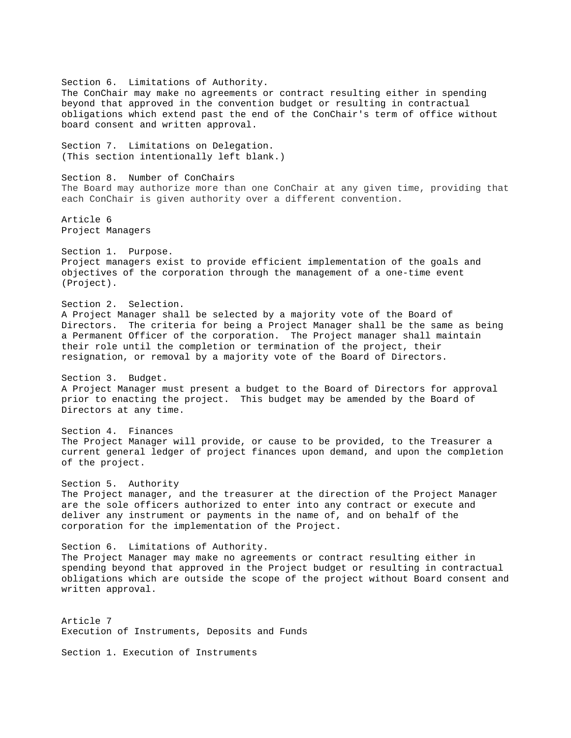Section 6. Limitations of Authority. The ConChair may make no agreements or contract resulting either in spending beyond that approved in the convention budget or resulting in contractual obligations which extend past the end of the ConChair's term of office without board consent and written approval. Section 7. Limitations on Delegation. (This section intentionally left blank.) Section 8. Number of ConChairs The Board may authorize more than one ConChair at any given time, providing that each ConChair is given authority over a different convention. Article 6 Project Managers Section 1. Purpose. Project managers exist to provide efficient implementation of the goals and objectives of the corporation through the management of a one-time event (Project). Section 2. Selection. A Project Manager shall be selected by a majority vote of the Board of Directors. The criteria for being a Project Manager shall be the same as being a Permanent Officer of the corporation. The Project manager shall maintain their role until the completion or termination of the project, their resignation, or removal by a majority vote of the Board of Directors. Section 3. Budget. A Project Manager must present a budget to the Board of Directors for approval prior to enacting the project. This budget may be amended by the Board of Directors at any time. Section 4. Finances The Project Manager will provide, or cause to be provided, to the Treasurer a current general ledger of project finances upon demand, and upon the completion of the project. Section 5. Authority The Project manager, and the treasurer at the direction of the Project Manager are the sole officers authorized to enter into any contract or execute and deliver any instrument or payments in the name of, and on behalf of the corporation for the implementation of the Project. Section 6. Limitations of Authority. The Project Manager may make no agreements or contract resulting either in spending beyond that approved in the Project budget or resulting in contractual obligations which are outside the scope of the project without Board consent and written approval. Article 7 Execution of Instruments, Deposits and Funds Section 1. Execution of Instruments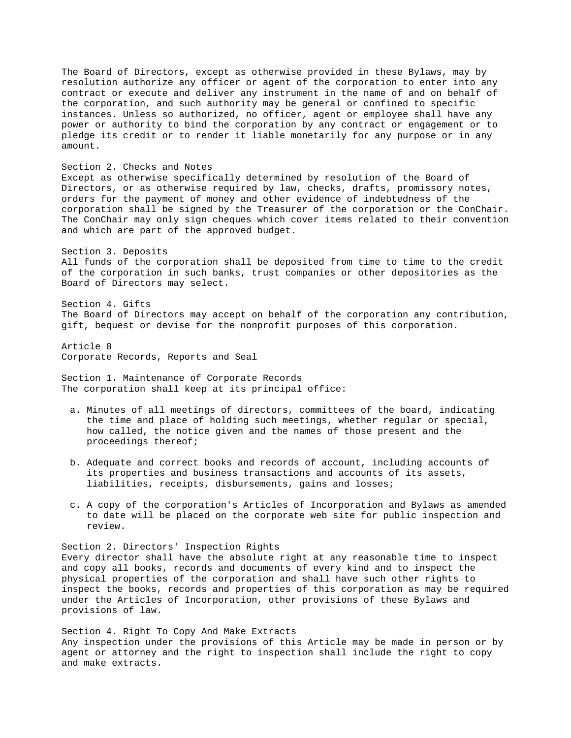The Board of Directors, except as otherwise provided in these Bylaws, may by resolution authorize any officer or agent of the corporation to enter into any contract or execute and deliver any instrument in the name of and on behalf of the corporation, and such authority may be general or confined to specific instances. Unless so authorized, no officer, agent or employee shall have any power or authority to bind the corporation by any contract or engagement or to pledge its credit or to render it liable monetarily for any purpose or in any amount.

#### Section 2. Checks and Notes

Except as otherwise specifically determined by resolution of the Board of Directors, or as otherwise required by law, checks, drafts, promissory notes, orders for the payment of money and other evidence of indebtedness of the corporation shall be signed by the Treasurer of the corporation or the ConChair. The ConChair may only sign cheques which cover items related to their convention and which are part of the approved budget.

Section 3. Deposits All funds of the corporation shall be deposited from time to time to the credit of the corporation in such banks, trust companies or other depositories as the Board of Directors may select.

Section 4. Gifts The Board of Directors may accept on behalf of the corporation any contribution, gift, bequest or devise for the nonprofit purposes of this corporation.

Article 8 Corporate Records, Reports and Seal

Section 1. Maintenance of Corporate Records The corporation shall keep at its principal office:

- a. Minutes of all meetings of directors, committees of the board, indicating the time and place of holding such meetings, whether regular or special, how called, the notice given and the names of those present and the proceedings thereof;
- b. Adequate and correct books and records of account, including accounts of its properties and business transactions and accounts of its assets, liabilities, receipts, disbursements, gains and losses;
- c. A copy of the corporation's Articles of Incorporation and Bylaws as amended to date will be placed on the corporate web site for public inspection and review.

# Section 2. Directors' Inspection Rights

Every director shall have the absolute right at any reasonable time to inspect and copy all books, records and documents of every kind and to inspect the physical properties of the corporation and shall have such other rights to inspect the books, records and properties of this corporation as may be required under the Articles of Incorporation, other provisions of these Bylaws and provisions of law.

Section 4. Right To Copy And Make Extracts Any inspection under the provisions of this Article may be made in person or by agent or attorney and the right to inspection shall include the right to copy and make extracts.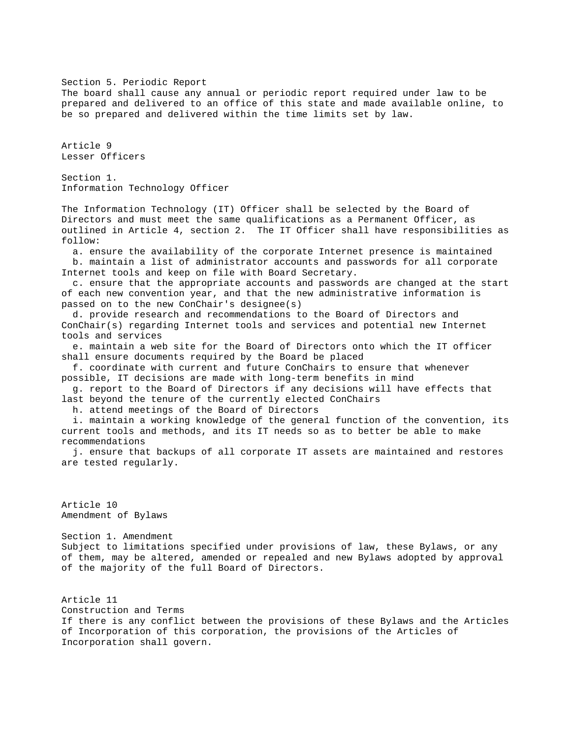Section 5. Periodic Report

The board shall cause any annual or periodic report required under law to be prepared and delivered to an office of this state and made available online, to be so prepared and delivered within the time limits set by law.

Article 9 Lesser Officers

Section 1. Information Technology Officer

The Information Technology (IT) Officer shall be selected by the Board of Directors and must meet the same qualifications as a Permanent Officer, as outlined in Article 4, section 2. The IT Officer shall have responsibilities as follow:

 a. ensure the availability of the corporate Internet presence is maintained b. maintain a list of administrator accounts and passwords for all corporate Internet tools and keep on file with Board Secretary.

 c. ensure that the appropriate accounts and passwords are changed at the start of each new convention year, and that the new administrative information is passed on to the new ConChair's designee(s)

 d. provide research and recommendations to the Board of Directors and ConChair(s) regarding Internet tools and services and potential new Internet tools and services

 e. maintain a web site for the Board of Directors onto which the IT officer shall ensure documents required by the Board be placed

 f. coordinate with current and future ConChairs to ensure that whenever possible, IT decisions are made with long-term benefits in mind

 g. report to the Board of Directors if any decisions will have effects that last beyond the tenure of the currently elected ConChairs

h. attend meetings of the Board of Directors

 i. maintain a working knowledge of the general function of the convention, its current tools and methods, and its IT needs so as to better be able to make recommendations

 j. ensure that backups of all corporate IT assets are maintained and restores are tested regularly.

Article 10 Amendment of Bylaws

Section 1. Amendment Subject to limitations specified under provisions of law, these Bylaws, or any of them, may be altered, amended or repealed and new Bylaws adopted by approval of the majority of the full Board of Directors.

Article 11 Construction and Terms If there is any conflict between the provisions of these Bylaws and the Articles of Incorporation of this corporation, the provisions of the Articles of Incorporation shall govern.